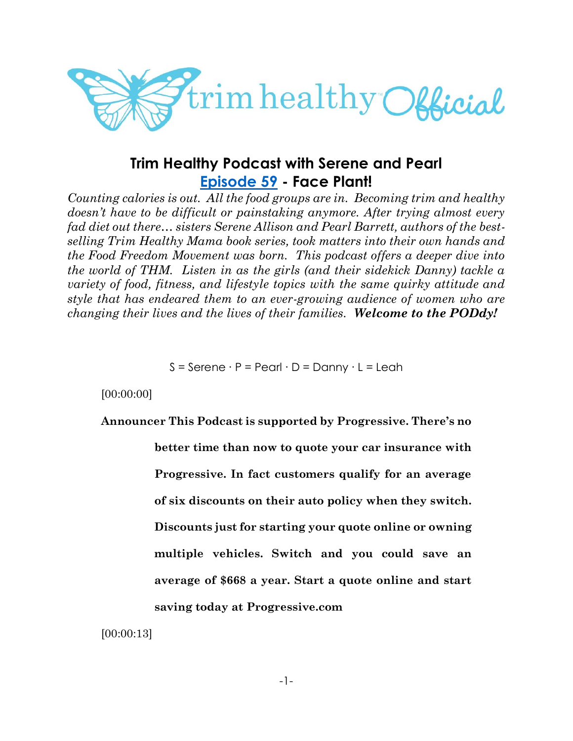

# **Trim Healthy Podcast with Serene and Pearl [Episode 59](https://cms.megaphone.fm/channel/trimhealthypodcast?selected=ADL6976287508) - Face Plant!**

*Counting calories is out. All the food groups are in. Becoming trim and healthy doesn't have to be difficult or painstaking anymore. After trying almost every fad diet out there… sisters Serene Allison and Pearl Barrett, authors of the bestselling Trim Healthy Mama book series, took matters into their own hands and the Food Freedom Movement was born. This podcast offers a deeper dive into the world of THM. Listen in as the girls (and their sidekick Danny) tackle a variety of food, fitness, and lifestyle topics with the same quirky attitude and style that has endeared them to an ever-growing audience of women who are changing their lives and the lives of their families. Welcome to the PODdy!*

S = Serene ∙ P = Pearl ∙ D = Danny ∙ L = Leah

[00:00:00]

# **Announcer This Podcast is supported by Progressive. There's no**

**better time than now to quote your car insurance with Progressive. In fact customers qualify for an average of six discounts on their auto policy when they switch. Discounts just for starting your quote online or owning multiple vehicles. Switch and you could save an average of \$668 a year. Start a quote online and start saving today at Progressive.com**

[00:00:13]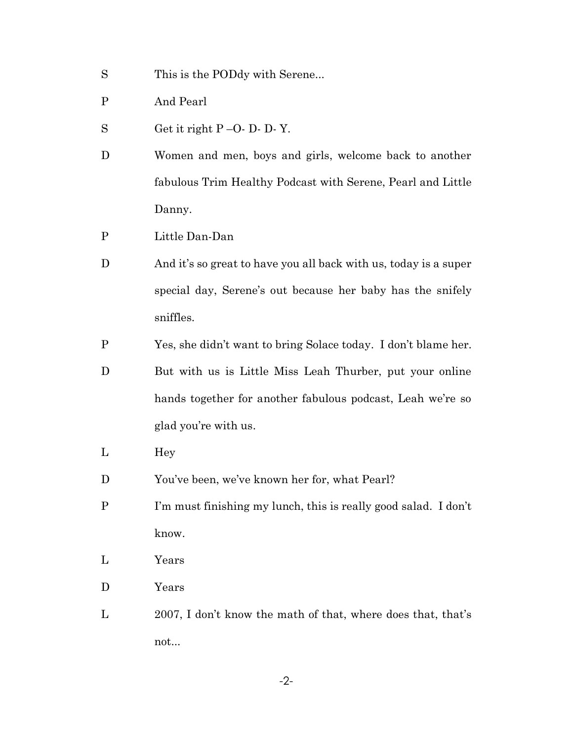- S This is the PODdy with Serene...
- P And Pearl
- S Get it right  $P O D D Y$ .
- D Women and men, boys and girls, welcome back to another fabulous Trim Healthy Podcast with Serene, Pearl and Little Danny.
- P Little Dan-Dan
- D And it's so great to have you all back with us, today is a super special day, Serene's out because her baby has the snifely sniffles.
- P Yes, she didn't want to bring Solace today. I don't blame her.
- D But with us is Little Miss Leah Thurber, put your online hands together for another fabulous podcast, Leah we're so glad you're with us.
- L Hey
- D You've been, we've known her for, what Pearl?
- P I'm must finishing my lunch, this is really good salad. I don't know.
- L Years
- D Years
- L 2007, I don't know the math of that, where does that, that's not...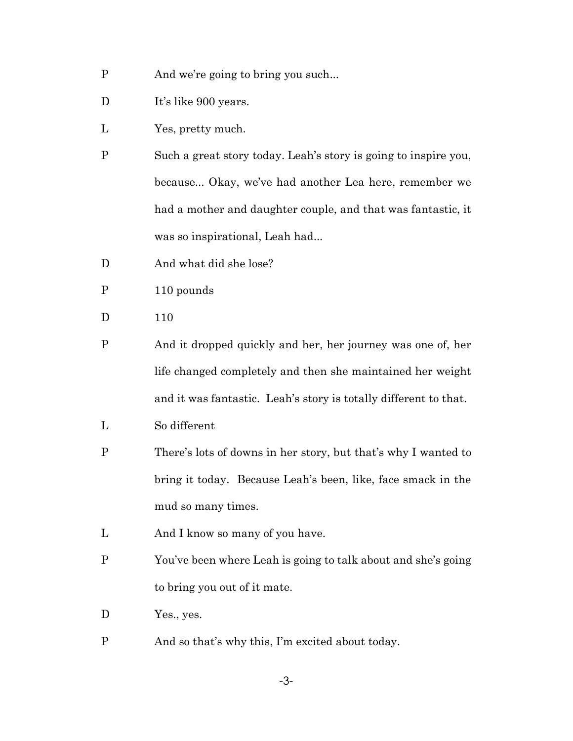- P And we're going to bring you such...
- D It's like 900 years.
- L Yes, pretty much.
- P Such a great story today. Leah's story is going to inspire you, because... Okay, we've had another Lea here, remember we had a mother and daughter couple, and that was fantastic, it was so inspirational, Leah had...
- D And what did she lose?
- P 110 pounds
- D 110
- P And it dropped quickly and her, her journey was one of, her life changed completely and then she maintained her weight and it was fantastic. Leah's story is totally different to that.
- L So different
- P There's lots of downs in her story, but that's why I wanted to bring it today. Because Leah's been, like, face smack in the mud so many times.
- L And I know so many of you have.
- P You've been where Leah is going to talk about and she's going to bring you out of it mate.
- D Yes., yes.
- P And so that's why this, I'm excited about today.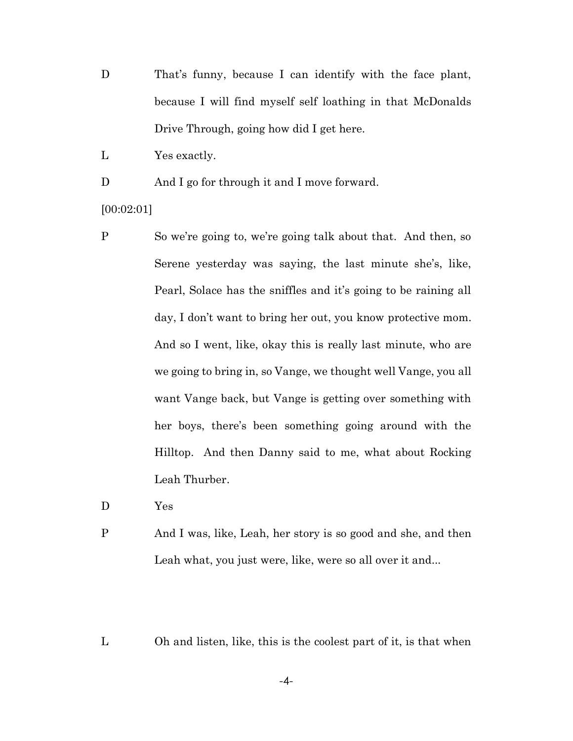- D That's funny, because I can identify with the face plant, because I will find myself self loathing in that McDonalds Drive Through, going how did I get here.
- L Yes exactly.

D And I go for through it and I move forward.

- [00:02:01]
- P So we're going to, we're going talk about that. And then, so Serene yesterday was saying, the last minute she's, like, Pearl, Solace has the sniffles and it's going to be raining all day, I don't want to bring her out, you know protective mom. And so I went, like, okay this is really last minute, who are we going to bring in, so Vange, we thought well Vange, you all want Vange back, but Vange is getting over something with her boys, there's been something going around with the Hilltop. And then Danny said to me, what about Rocking Leah Thurber.
- D Yes
- P And I was, like, Leah, her story is so good and she, and then Leah what, you just were, like, were so all over it and...
- L Oh and listen, like, this is the coolest part of it, is that when

-4-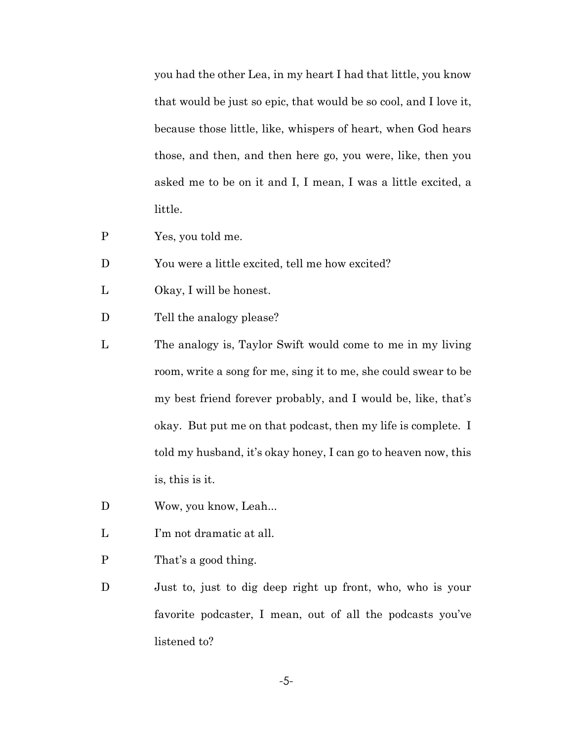you had the other Lea, in my heart I had that little, you know that would be just so epic, that would be so cool, and I love it, because those little, like, whispers of heart, when God hears those, and then, and then here go, you were, like, then you asked me to be on it and I, I mean, I was a little excited, a little.

- P Yes, you told me.
- D You were a little excited, tell me how excited?
- L Okay, I will be honest.
- D Tell the analogy please?
- L The analogy is, Taylor Swift would come to me in my living room, write a song for me, sing it to me, she could swear to be my best friend forever probably, and I would be, like, that's okay. But put me on that podcast, then my life is complete. I told my husband, it's okay honey, I can go to heaven now, this is, this is it.
- D Wow, you know, Leah...
- L I'm not dramatic at all.
- P That's a good thing.
- D Just to, just to dig deep right up front, who, who is your favorite podcaster, I mean, out of all the podcasts you've listened to?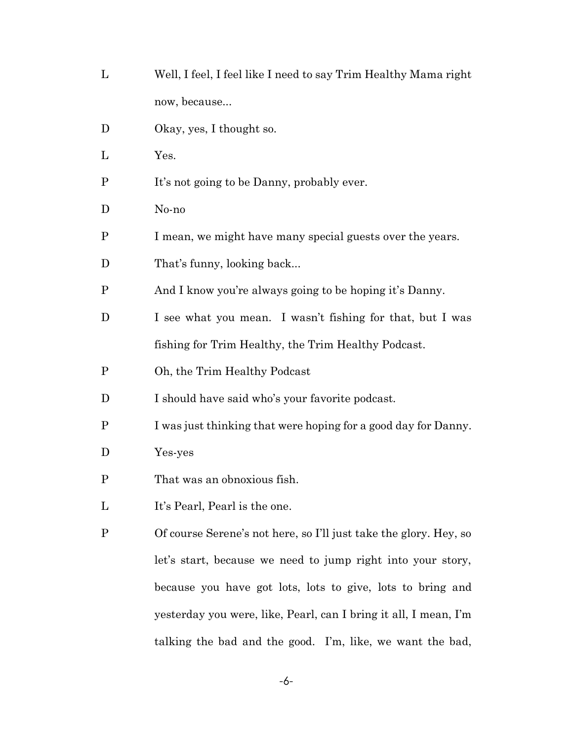- L Well, I feel, I feel like I need to say Trim Healthy Mama right now, because...
- D Okay, yes, I thought so.
- L Yes.
- P It's not going to be Danny, probably ever.
- D No-no
- P I mean, we might have many special guests over the years.
- D That's funny, looking back...
- P And I know you're always going to be hoping it's Danny.
- D I see what you mean. I wasn't fishing for that, but I was fishing for Trim Healthy, the Trim Healthy Podcast.
- P Oh, the Trim Healthy Podcast
- D I should have said who's your favorite podcast.
- P I was just thinking that were hoping for a good day for Danny.
- D Yes-yes
- P That was an obnoxious fish.
- L It's Pearl, Pearl is the one.
- P Of course Serene's not here, so I'll just take the glory. Hey, so let's start, because we need to jump right into your story, because you have got lots, lots to give, lots to bring and yesterday you were, like, Pearl, can I bring it all, I mean, I'm talking the bad and the good. I'm, like, we want the bad,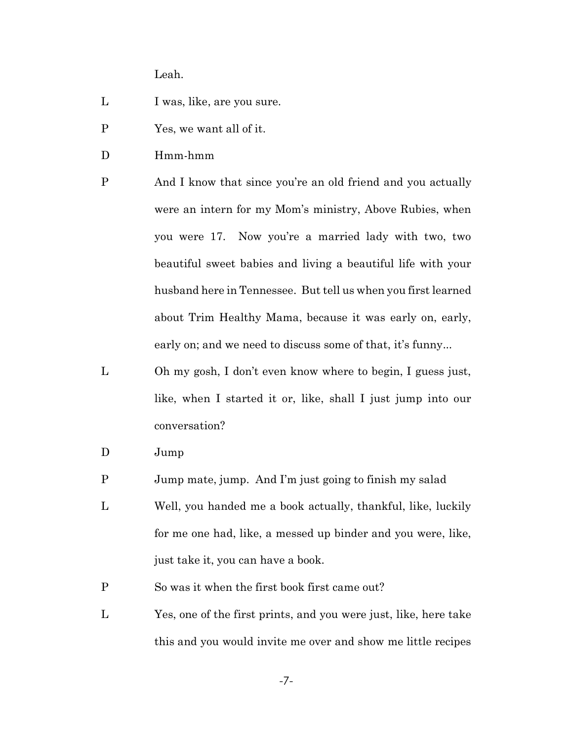Leah.

- L I was, like, are you sure.
- P Yes, we want all of it.
- D Hmm-hmm
- P And I know that since you're an old friend and you actually were an intern for my Mom's ministry, Above Rubies, when you were 17. Now you're a married lady with two, two beautiful sweet babies and living a beautiful life with your husband here in Tennessee. But tell us when you first learned about Trim Healthy Mama, because it was early on, early, early on; and we need to discuss some of that, it's funny...
- L Oh my gosh, I don't even know where to begin, I guess just, like, when I started it or, like, shall I just jump into our conversation?
- D Jump
- P Jump mate, jump. And I'm just going to finish my salad
- L Well, you handed me a book actually, thankful, like, luckily for me one had, like, a messed up binder and you were, like, just take it, you can have a book.
- P So was it when the first book first came out?
- L Yes, one of the first prints, and you were just, like, here take this and you would invite me over and show me little recipes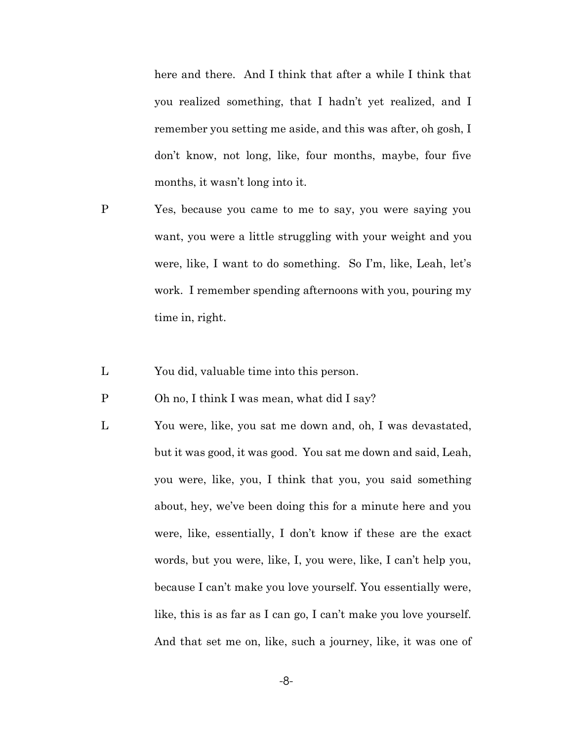here and there. And I think that after a while I think that you realized something, that I hadn't yet realized, and I remember you setting me aside, and this was after, oh gosh, I don't know, not long, like, four months, maybe, four five months, it wasn't long into it.

- P Yes, because you came to me to say, you were saying you want, you were a little struggling with your weight and you were, like, I want to do something. So I'm, like, Leah, let's work. I remember spending afternoons with you, pouring my time in, right.
- L You did, valuable time into this person.
- P Oh no, I think I was mean, what did I say?
- L You were, like, you sat me down and, oh, I was devastated, but it was good, it was good. You sat me down and said, Leah, you were, like, you, I think that you, you said something about, hey, we've been doing this for a minute here and you were, like, essentially, I don't know if these are the exact words, but you were, like, I, you were, like, I can't help you, because I can't make you love yourself. You essentially were, like, this is as far as I can go, I can't make you love yourself. And that set me on, like, such a journey, like, it was one of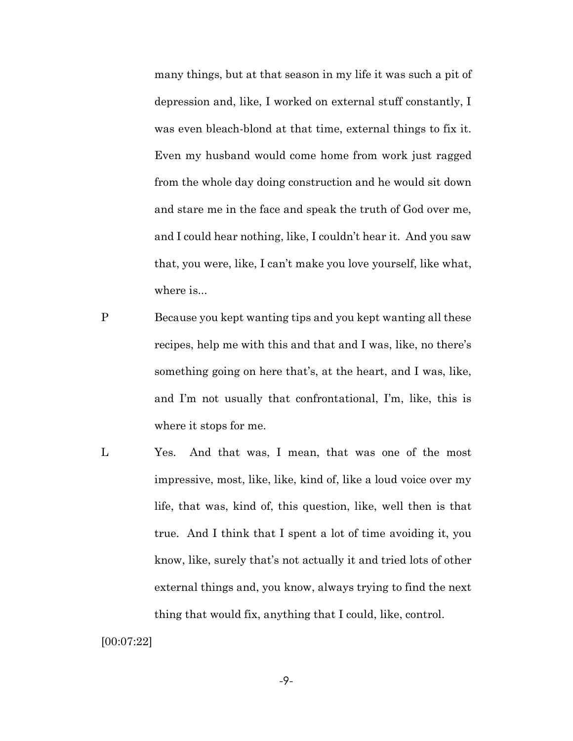many things, but at that season in my life it was such a pit of depression and, like, I worked on external stuff constantly, I was even bleach-blond at that time, external things to fix it. Even my husband would come home from work just ragged from the whole day doing construction and he would sit down and stare me in the face and speak the truth of God over me, and I could hear nothing, like, I couldn't hear it. And you saw that, you were, like, I can't make you love yourself, like what, where is...

- P Because you kept wanting tips and you kept wanting all these recipes, help me with this and that and I was, like, no there's something going on here that's, at the heart, and I was, like, and I'm not usually that confrontational, I'm, like, this is where it stops for me.
- L Yes. And that was, I mean, that was one of the most impressive, most, like, like, kind of, like a loud voice over my life, that was, kind of, this question, like, well then is that true. And I think that I spent a lot of time avoiding it, you know, like, surely that's not actually it and tried lots of other external things and, you know, always trying to find the next thing that would fix, anything that I could, like, control.

[00:07:22]

-9-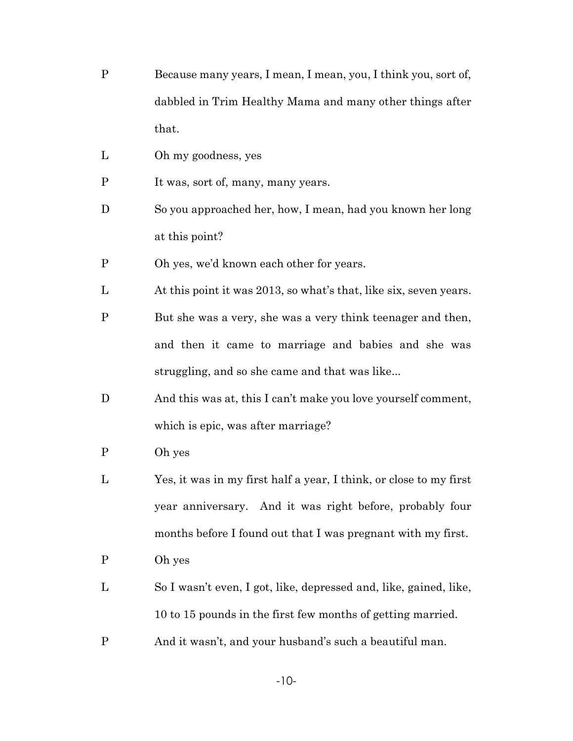- P Because many years, I mean, I mean, you, I think you, sort of, dabbled in Trim Healthy Mama and many other things after that.
- L Oh my goodness, yes
- P It was, sort of, many, many years.
- D So you approached her, how, I mean, had you known her long at this point?
- P Oh yes, we'd known each other for years.
- L At this point it was 2013, so what's that, like six, seven years.
- P But she was a very, she was a very think teenager and then, and then it came to marriage and babies and she was struggling, and so she came and that was like...
- D And this was at, this I can't make you love yourself comment, which is epic, was after marriage?
- P Oh yes
- L Yes, it was in my first half a year, I think, or close to my first year anniversary. And it was right before, probably four months before I found out that I was pregnant with my first.
- P Oh yes
- L So I wasn't even, I got, like, depressed and, like, gained, like, 10 to 15 pounds in the first few months of getting married.
- P And it wasn't, and your husband's such a beautiful man.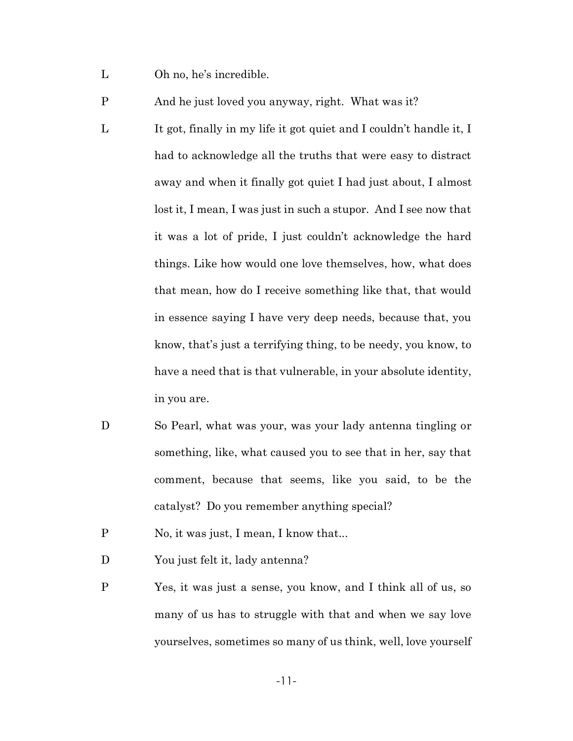- L Oh no, he's incredible.
- P And he just loved you anyway, right. What was it?
- L It got, finally in my life it got quiet and I couldn't handle it, I had to acknowledge all the truths that were easy to distract away and when it finally got quiet I had just about, I almost lost it, I mean, I was just in such a stupor. And I see now that it was a lot of pride, I just couldn't acknowledge the hard things. Like how would one love themselves, how, what does that mean, how do I receive something like that, that would in essence saying I have very deep needs, because that, you know, that's just a terrifying thing, to be needy, you know, to have a need that is that vulnerable, in your absolute identity, in you are.
- D So Pearl, what was your, was your lady antenna tingling or something, like, what caused you to see that in her, say that comment, because that seems, like you said, to be the catalyst? Do you remember anything special?
- P No, it was just, I mean, I know that...
- D You just felt it, lady antenna?
- P Yes, it was just a sense, you know, and I think all of us, so many of us has to struggle with that and when we say love yourselves, sometimes so many of us think, well, love yourself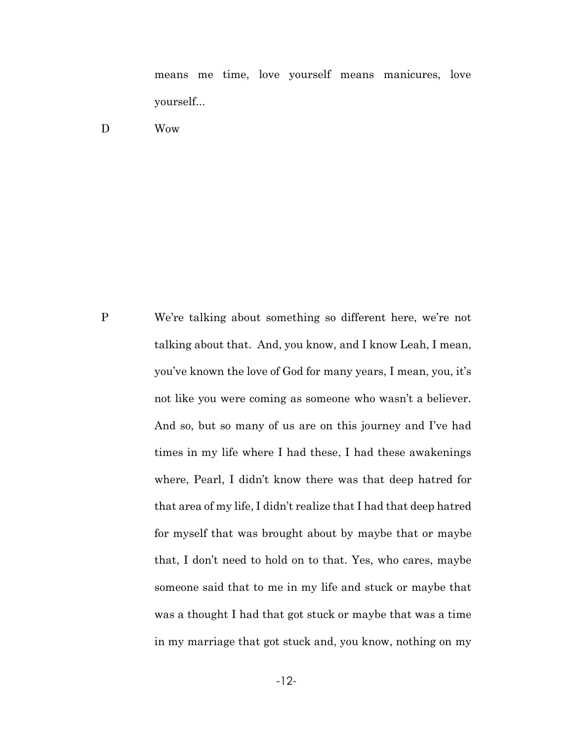means me time, love yourself means manicures, love yourself...

D Wow

P We're talking about something so different here, we're not talking about that. And, you know, and I know Leah, I mean, you've known the love of God for many years, I mean, you, it's not like you were coming as someone who wasn't a believer. And so, but so many of us are on this journey and I've had times in my life where I had these, I had these awakenings where, Pearl, I didn't know there was that deep hatred for that area of my life, I didn't realize that I had that deep hatred for myself that was brought about by maybe that or maybe that, I don't need to hold on to that. Yes, who cares, maybe someone said that to me in my life and stuck or maybe that was a thought I had that got stuck or maybe that was a time in my marriage that got stuck and, you know, nothing on my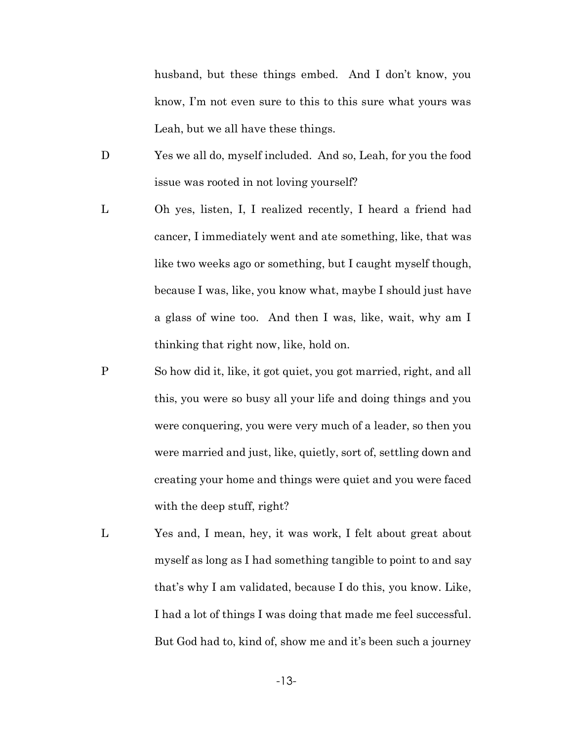husband, but these things embed. And I don't know, you know, I'm not even sure to this to this sure what yours was Leah, but we all have these things.

- D Yes we all do, myself included. And so, Leah, for you the food issue was rooted in not loving yourself?
- L Oh yes, listen, I, I realized recently, I heard a friend had cancer, I immediately went and ate something, like, that was like two weeks ago or something, but I caught myself though, because I was, like, you know what, maybe I should just have a glass of wine too. And then I was, like, wait, why am I thinking that right now, like, hold on.
- P So how did it, like, it got quiet, you got married, right, and all this, you were so busy all your life and doing things and you were conquering, you were very much of a leader, so then you were married and just, like, quietly, sort of, settling down and creating your home and things were quiet and you were faced with the deep stuff, right?
- L Yes and, I mean, hey, it was work, I felt about great about myself as long as I had something tangible to point to and say that's why I am validated, because I do this, you know. Like, I had a lot of things I was doing that made me feel successful. But God had to, kind of, show me and it's been such a journey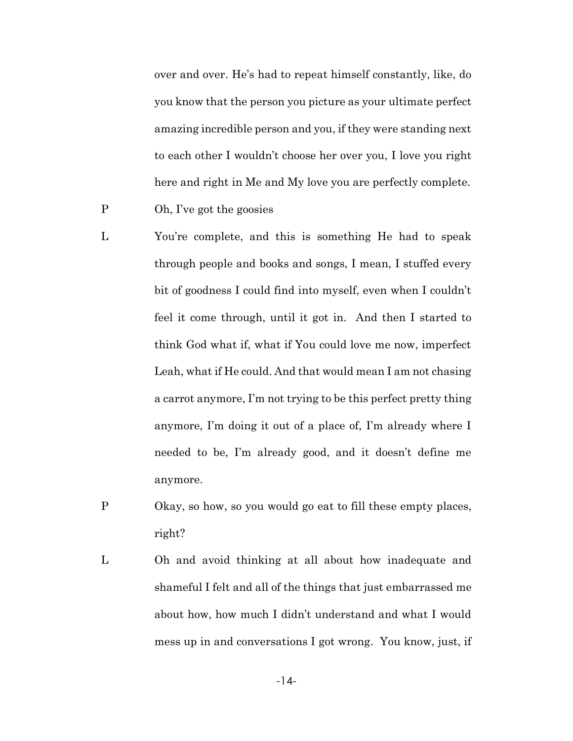over and over. He's had to repeat himself constantly, like, do you know that the person you picture as your ultimate perfect amazing incredible person and you, if they were standing next to each other I wouldn't choose her over you, I love you right here and right in Me and My love you are perfectly complete.

- P Oh, I've got the goosies
- L You're complete, and this is something He had to speak through people and books and songs, I mean, I stuffed every bit of goodness I could find into myself, even when I couldn't feel it come through, until it got in. And then I started to think God what if, what if You could love me now, imperfect Leah, what if He could. And that would mean I am not chasing a carrot anymore, I'm not trying to be this perfect pretty thing anymore, I'm doing it out of a place of, I'm already where I needed to be, I'm already good, and it doesn't define me anymore.
- P Okay, so how, so you would go eat to fill these empty places, right?
- L Oh and avoid thinking at all about how inadequate and shameful I felt and all of the things that just embarrassed me about how, how much I didn't understand and what I would mess up in and conversations I got wrong. You know, just, if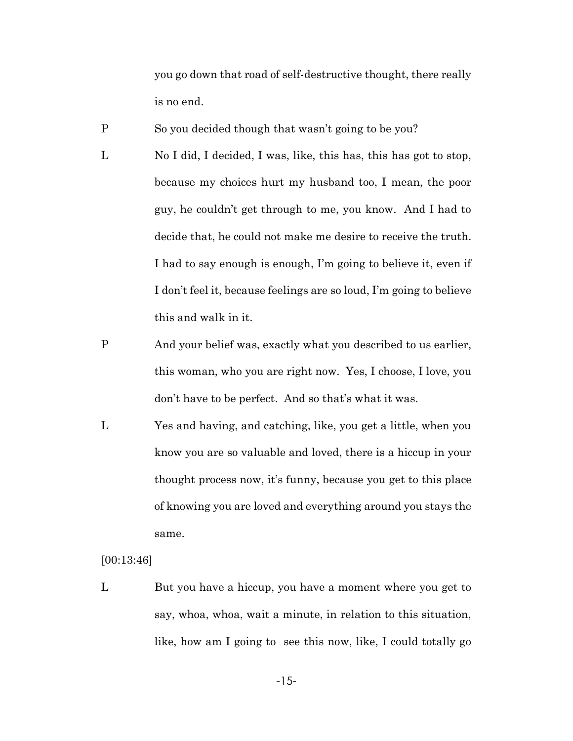you go down that road of self-destructive thought, there really is no end.

P So you decided though that wasn't going to be you?

- L No I did, I decided, I was, like, this has, this has got to stop, because my choices hurt my husband too, I mean, the poor guy, he couldn't get through to me, you know. And I had to decide that, he could not make me desire to receive the truth. I had to say enough is enough, I'm going to believe it, even if I don't feel it, because feelings are so loud, I'm going to believe this and walk in it.
- P And your belief was, exactly what you described to us earlier, this woman, who you are right now. Yes, I choose, I love, you don't have to be perfect. And so that's what it was.
- L Yes and having, and catching, like, you get a little, when you know you are so valuable and loved, there is a hiccup in your thought process now, it's funny, because you get to this place of knowing you are loved and everything around you stays the same.

[00:13:46]

L But you have a hiccup, you have a moment where you get to say, whoa, whoa, wait a minute, in relation to this situation, like, how am I going to see this now, like, I could totally go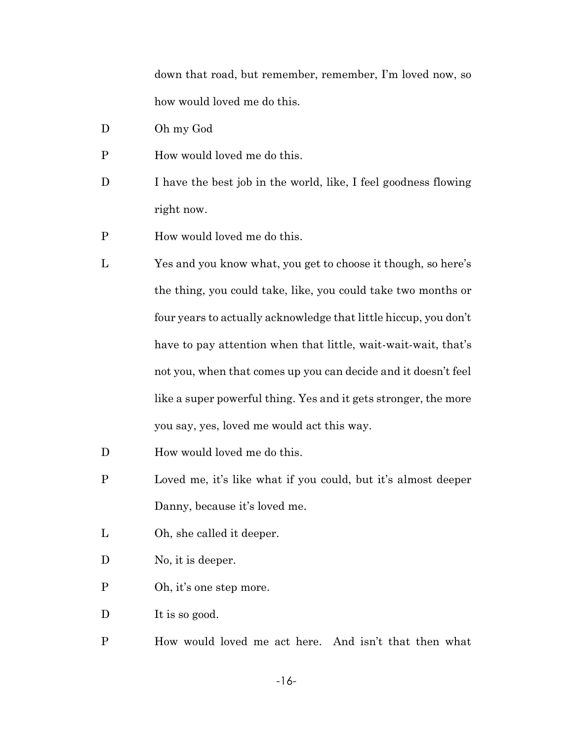down that road, but remember, remember, I'm loved now, so how would loved me do this.

- D Oh my God
- P How would loved me do this.
- D I have the best job in the world, like, I feel goodness flowing right now.
- P How would loved me do this.
- L Yes and you know what, you get to choose it though, so here's the thing, you could take, like, you could take two months or four years to actually acknowledge that little hiccup, you don't have to pay attention when that little, wait-wait-wait, that's not you, when that comes up you can decide and it doesn't feel like a super powerful thing. Yes and it gets stronger, the more you say, yes, loved me would act this way.
- D How would loved me do this.
- P Loved me, it's like what if you could, but it's almost deeper Danny, because it's loved me.
- L Oh, she called it deeper.
- D No, it is deeper.
- P Oh, it's one step more.

D It is so good.

P How would loved me act here. And isn't that then what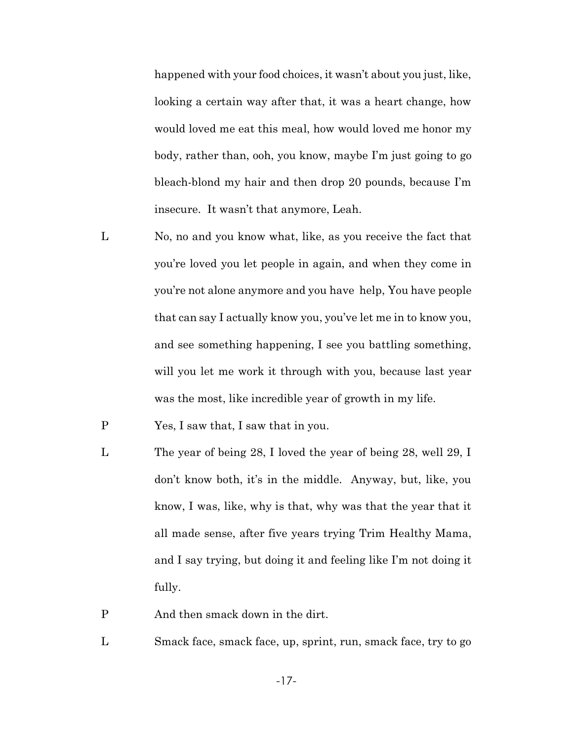happened with your food choices, it wasn't about you just, like, looking a certain way after that, it was a heart change, how would loved me eat this meal, how would loved me honor my body, rather than, ooh, you know, maybe I'm just going to go bleach-blond my hair and then drop 20 pounds, because I'm insecure. It wasn't that anymore, Leah.

- L No, no and you know what, like, as you receive the fact that you're loved you let people in again, and when they come in you're not alone anymore and you have help, You have people that can say I actually know you, you've let me in to know you, and see something happening, I see you battling something, will you let me work it through with you, because last year was the most, like incredible year of growth in my life.
- P Yes, I saw that, I saw that in you.
- L The year of being 28, I loved the year of being 28, well 29, I don't know both, it's in the middle. Anyway, but, like, you know, I was, like, why is that, why was that the year that it all made sense, after five years trying Trim Healthy Mama, and I say trying, but doing it and feeling like I'm not doing it fully.
- P And then smack down in the dirt.
- L Smack face, smack face, up, sprint, run, smack face, try to go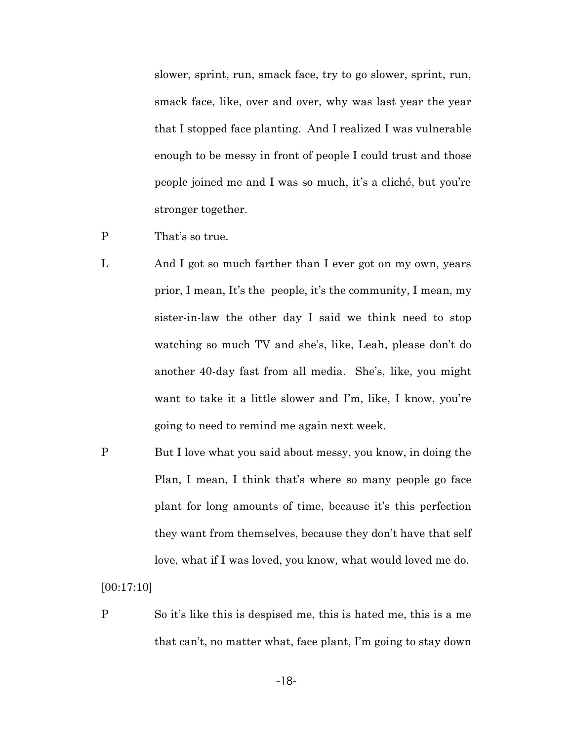slower, sprint, run, smack face, try to go slower, sprint, run, smack face, like, over and over, why was last year the year that I stopped face planting. And I realized I was vulnerable enough to be messy in front of people I could trust and those people joined me and I was so much, it's a cliché, but you're stronger together.

- P That's so true.
- L And I got so much farther than I ever got on my own, years prior, I mean, It's the people, it's the community, I mean, my sister-in-law the other day I said we think need to stop watching so much TV and she's, like, Leah, please don't do another 40-day fast from all media. She's, like, you might want to take it a little slower and I'm, like, I know, you're going to need to remind me again next week.
- P But I love what you said about messy, you know, in doing the Plan, I mean, I think that's where so many people go face plant for long amounts of time, because it's this perfection they want from themselves, because they don't have that self love, what if I was loved, you know, what would loved me do.

[00:17:10]

P So it's like this is despised me, this is hated me, this is a me that can't, no matter what, face plant, I'm going to stay down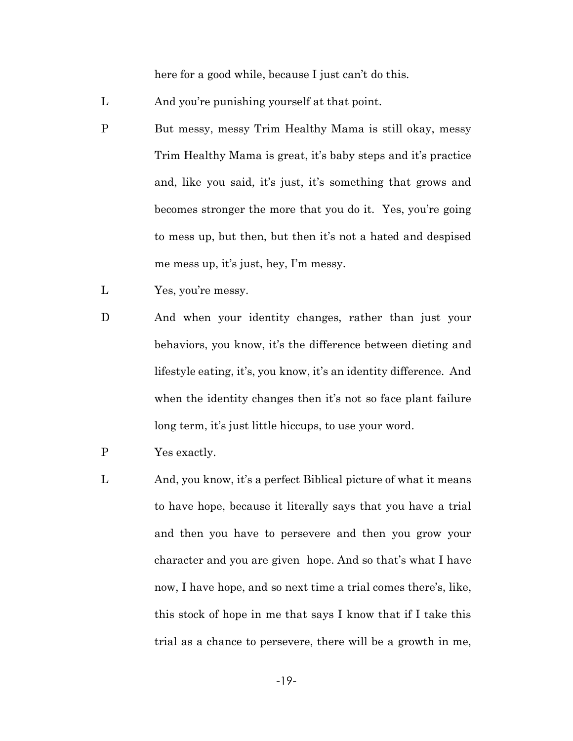here for a good while, because I just can't do this.

- L And you're punishing yourself at that point.
- P But messy, messy Trim Healthy Mama is still okay, messy Trim Healthy Mama is great, it's baby steps and it's practice and, like you said, it's just, it's something that grows and becomes stronger the more that you do it. Yes, you're going to mess up, but then, but then it's not a hated and despised me mess up, it's just, hey, I'm messy.
- L Yes, you're messy.
- D And when your identity changes, rather than just your behaviors, you know, it's the difference between dieting and lifestyle eating, it's, you know, it's an identity difference. And when the identity changes then it's not so face plant failure long term, it's just little hiccups, to use your word.
- P Yes exactly.
- L And, you know, it's a perfect Biblical picture of what it means to have hope, because it literally says that you have a trial and then you have to persevere and then you grow your character and you are given hope. And so that's what I have now, I have hope, and so next time a trial comes there's, like, this stock of hope in me that says I know that if I take this trial as a chance to persevere, there will be a growth in me,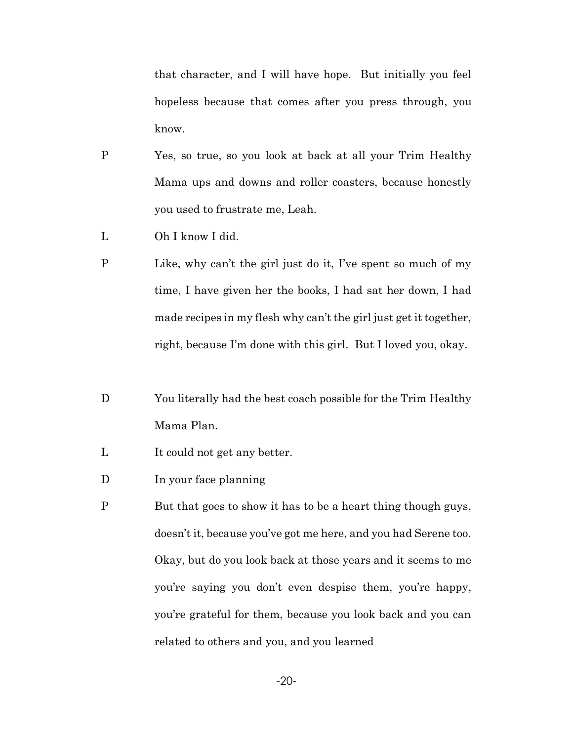that character, and I will have hope. But initially you feel hopeless because that comes after you press through, you know.

- P Yes, so true, so you look at back at all your Trim Healthy Mama ups and downs and roller coasters, because honestly you used to frustrate me, Leah.
- L Oh I know I did.
- P Like, why can't the girl just do it, I've spent so much of my time, I have given her the books, I had sat her down, I had made recipes in my flesh why can't the girl just get it together, right, because I'm done with this girl. But I loved you, okay.
- D You literally had the best coach possible for the Trim Healthy Mama Plan.
- L It could not get any better.
- D In your face planning
- P But that goes to show it has to be a heart thing though guys, doesn't it, because you've got me here, and you had Serene too. Okay, but do you look back at those years and it seems to me you're saying you don't even despise them, you're happy, you're grateful for them, because you look back and you can related to others and you, and you learned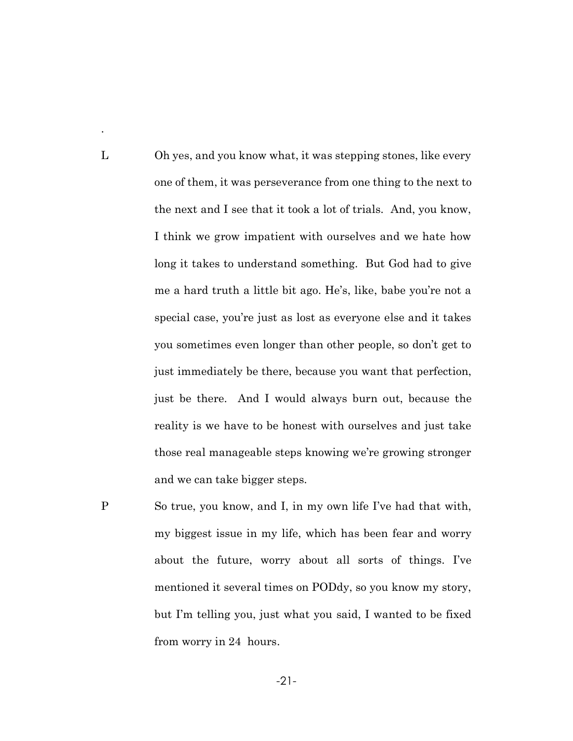L Oh yes, and you know what, it was stepping stones, like every one of them, it was perseverance from one thing to the next to the next and I see that it took a lot of trials. And, you know, I think we grow impatient with ourselves and we hate how long it takes to understand something. But God had to give me a hard truth a little bit ago. He's, like, babe you're not a special case, you're just as lost as everyone else and it takes you sometimes even longer than other people, so don't get to just immediately be there, because you want that perfection, just be there. And I would always burn out, because the reality is we have to be honest with ourselves and just take those real manageable steps knowing we're growing stronger and we can take bigger steps.

.

P So true, you know, and I, in my own life I've had that with, my biggest issue in my life, which has been fear and worry about the future, worry about all sorts of things. I've mentioned it several times on PODdy, so you know my story, but I'm telling you, just what you said, I wanted to be fixed from worry in 24 hours.

-21-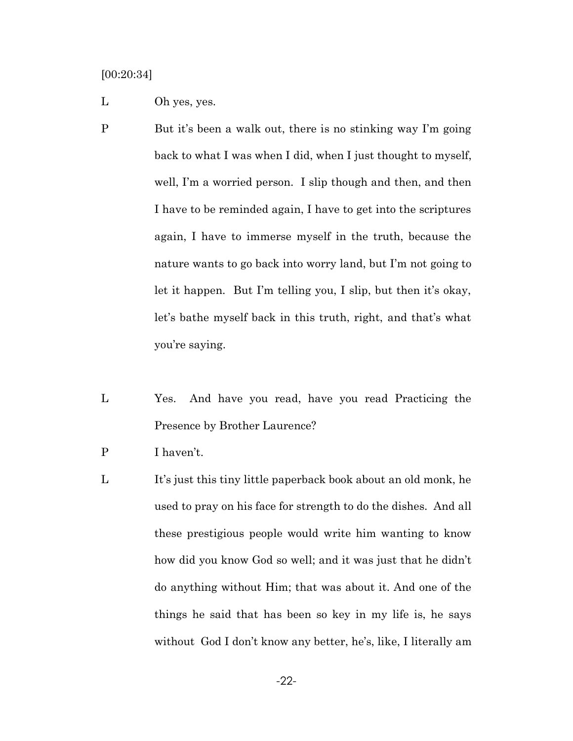[00:20:34]

- L Oh yes, yes.
- P But it's been a walk out, there is no stinking way I'm going back to what I was when I did, when I just thought to myself, well, I'm a worried person. I slip though and then, and then I have to be reminded again, I have to get into the scriptures again, I have to immerse myself in the truth, because the nature wants to go back into worry land, but I'm not going to let it happen. But I'm telling you, I slip, but then it's okay, let's bathe myself back in this truth, right, and that's what you're saying.
- L Yes. And have you read, have you read Practicing the Presence by Brother Laurence?
- P I haven't.
- L It's just this tiny little paperback book about an old monk, he used to pray on his face for strength to do the dishes. And all these prestigious people would write him wanting to know how did you know God so well; and it was just that he didn't do anything without Him; that was about it. And one of the things he said that has been so key in my life is, he says without God I don't know any better, he's, like, I literally am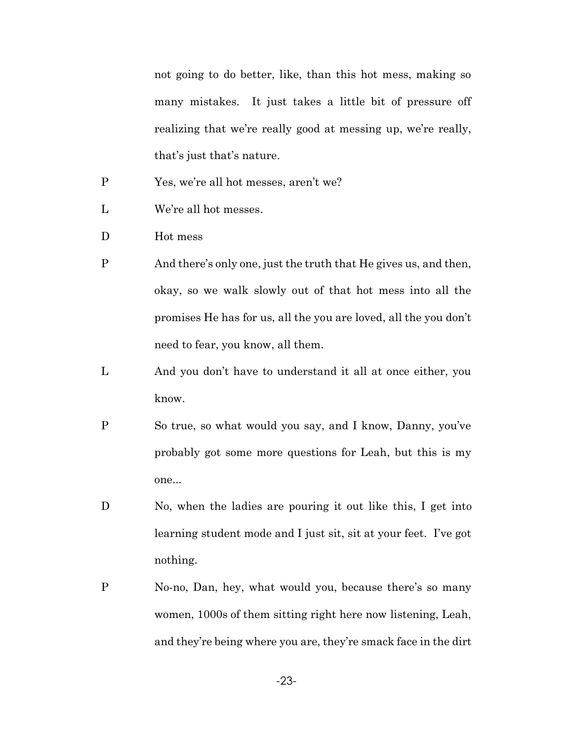not going to do better, like, than this hot mess, making so many mistakes. It just takes a little bit of pressure off realizing that we're really good at messing up, we're really, that's just that's nature.

- P Yes, we're all hot messes, aren't we?
- L We're all hot messes.
- D Hot mess
- P And there's only one, just the truth that He gives us, and then, okay, so we walk slowly out of that hot mess into all the promises He has for us, all the you are loved, all the you don't need to fear, you know, all them.
- L And you don't have to understand it all at once either, you know.
- P So true, so what would you say, and I know, Danny, you've probably got some more questions for Leah, but this is my one...
- D No, when the ladies are pouring it out like this, I get into learning student mode and I just sit, sit at your feet. I've got nothing.
- P No-no, Dan, hey, what would you, because there's so many women, 1000s of them sitting right here now listening, Leah, and they're being where you are, they're smack face in the dirt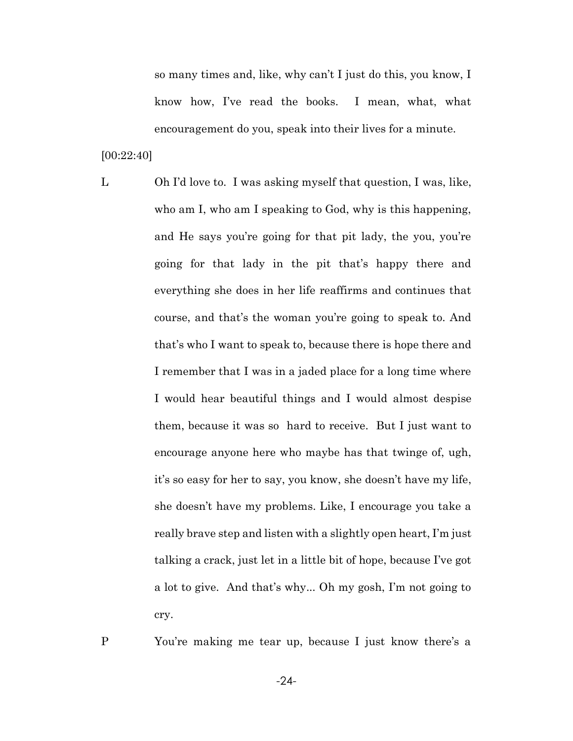so many times and, like, why can't I just do this, you know, I know how, I've read the books. I mean, what, what encouragement do you, speak into their lives for a minute.

[00:22:40]

L Oh I'd love to. I was asking myself that question, I was, like, who am I, who am I speaking to God, why is this happening, and He says you're going for that pit lady, the you, you're going for that lady in the pit that's happy there and everything she does in her life reaffirms and continues that course, and that's the woman you're going to speak to. And that's who I want to speak to, because there is hope there and I remember that I was in a jaded place for a long time where I would hear beautiful things and I would almost despise them, because it was so hard to receive. But I just want to encourage anyone here who maybe has that twinge of, ugh, it's so easy for her to say, you know, she doesn't have my life, she doesn't have my problems. Like, I encourage you take a really brave step and listen with a slightly open heart, I'm just talking a crack, just let in a little bit of hope, because I've got a lot to give. And that's why... Oh my gosh, I'm not going to cry.

P You're making me tear up, because I just know there's a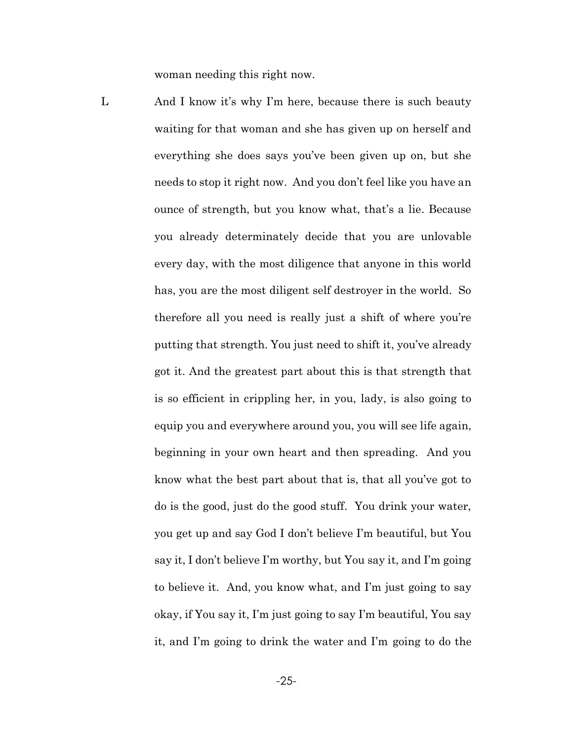woman needing this right now.

L And I know it's why I'm here, because there is such beauty waiting for that woman and she has given up on herself and everything she does says you've been given up on, but she needs to stop it right now. And you don't feel like you have an ounce of strength, but you know what, that's a lie. Because you already determinately decide that you are unlovable every day, with the most diligence that anyone in this world has, you are the most diligent self destroyer in the world. So therefore all you need is really just a shift of where you're putting that strength. You just need to shift it, you've already got it. And the greatest part about this is that strength that is so efficient in crippling her, in you, lady, is also going to equip you and everywhere around you, you will see life again, beginning in your own heart and then spreading. And you know what the best part about that is, that all you've got to do is the good, just do the good stuff. You drink your water, you get up and say God I don't believe I'm beautiful, but You say it, I don't believe I'm worthy, but You say it, and I'm going to believe it. And, you know what, and I'm just going to say okay, if You say it, I'm just going to say I'm beautiful, You say it, and I'm going to drink the water and I'm going to do the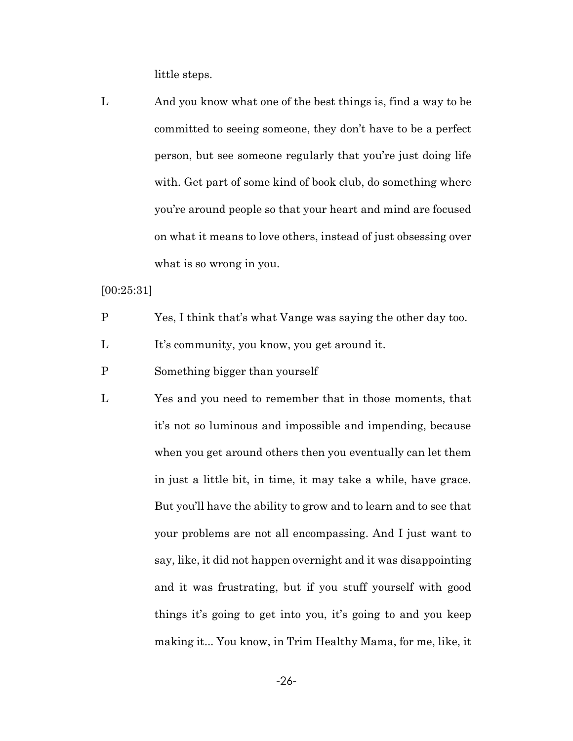little steps.

L And you know what one of the best things is, find a way to be committed to seeing someone, they don't have to be a perfect person, but see someone regularly that you're just doing life with. Get part of some kind of book club, do something where you're around people so that your heart and mind are focused on what it means to love others, instead of just obsessing over what is so wrong in you.

[00:25:31]

- P Yes, I think that's what Vange was saying the other day too.
- L It's community, you know, you get around it.
- P Something bigger than yourself
- L Yes and you need to remember that in those moments, that it's not so luminous and impossible and impending, because when you get around others then you eventually can let them in just a little bit, in time, it may take a while, have grace. But you'll have the ability to grow and to learn and to see that your problems are not all encompassing. And I just want to say, like, it did not happen overnight and it was disappointing and it was frustrating, but if you stuff yourself with good things it's going to get into you, it's going to and you keep making it... You know, in Trim Healthy Mama, for me, like, it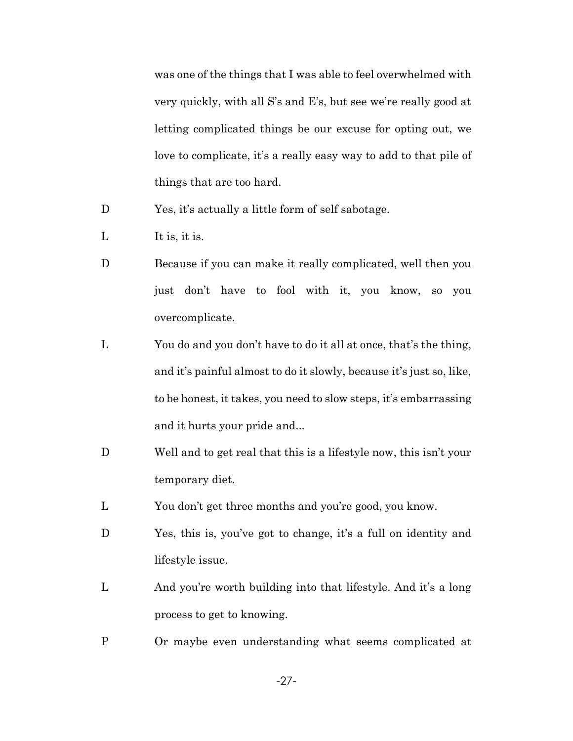was one of the things that I was able to feel overwhelmed with very quickly, with all S's and E's, but see we're really good at letting complicated things be our excuse for opting out, we love to complicate, it's a really easy way to add to that pile of things that are too hard.

- D Yes, it's actually a little form of self sabotage.
- L It is, it is.
- D Because if you can make it really complicated, well then you just don't have to fool with it, you know, so you overcomplicate.
- L You do and you don't have to do it all at once, that's the thing, and it's painful almost to do it slowly, because it's just so, like, to be honest, it takes, you need to slow steps, it's embarrassing and it hurts your pride and...
- D Well and to get real that this is a lifestyle now, this isn't your temporary diet.
- L You don't get three months and you're good, you know.
- D Yes, this is, you've got to change, it's a full on identity and lifestyle issue.
- L And you're worth building into that lifestyle. And it's a long process to get to knowing.
- P Or maybe even understanding what seems complicated at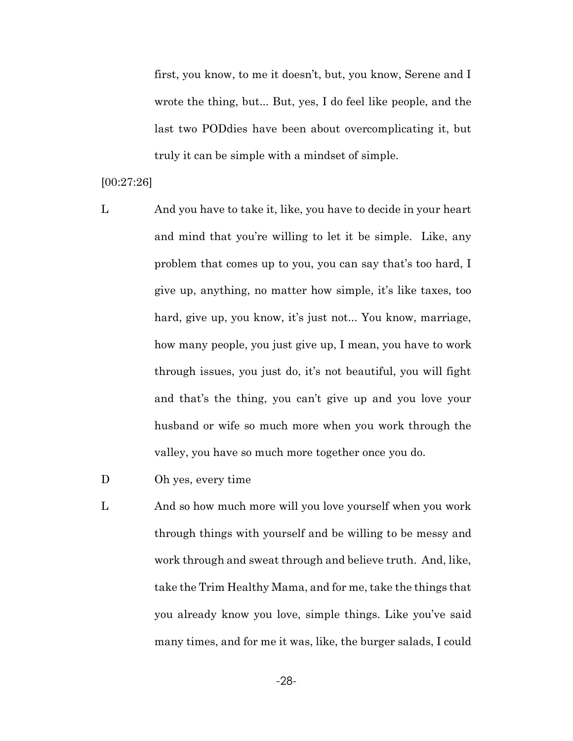first, you know, to me it doesn't, but, you know, Serene and I wrote the thing, but... But, yes, I do feel like people, and the last two PODdies have been about overcomplicating it, but truly it can be simple with a mindset of simple.

### [00:27:26]

L And you have to take it, like, you have to decide in your heart and mind that you're willing to let it be simple. Like, any problem that comes up to you, you can say that's too hard, I give up, anything, no matter how simple, it's like taxes, too hard, give up, you know, it's just not... You know, marriage, how many people, you just give up, I mean, you have to work through issues, you just do, it's not beautiful, you will fight and that's the thing, you can't give up and you love your husband or wife so much more when you work through the valley, you have so much more together once you do.

# D Oh yes, every time

L And so how much more will you love yourself when you work through things with yourself and be willing to be messy and work through and sweat through and believe truth. And, like, take the Trim Healthy Mama, and for me, take the things that you already know you love, simple things. Like you've said many times, and for me it was, like, the burger salads, I could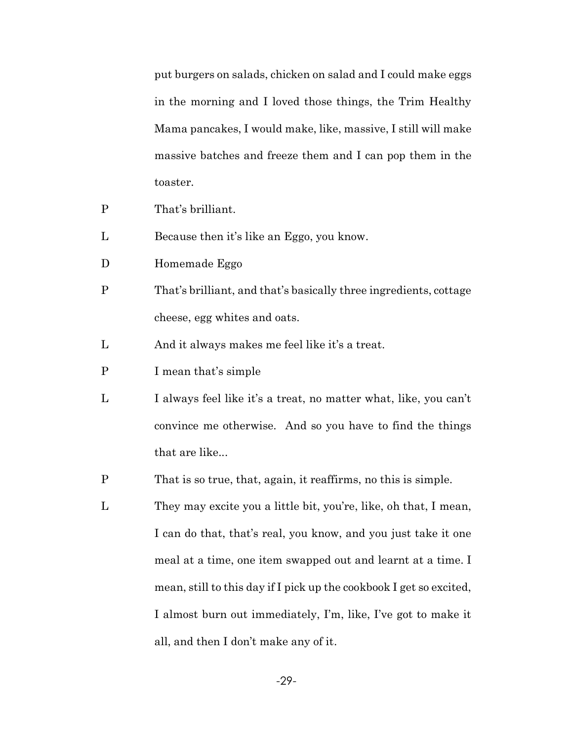put burgers on salads, chicken on salad and I could make eggs in the morning and I loved those things, the Trim Healthy Mama pancakes, I would make, like, massive, I still will make massive batches and freeze them and I can pop them in the toaster.

- P That's brilliant.
- L Because then it's like an Eggo, you know.
- D Homemade Eggo
- P That's brilliant, and that's basically three ingredients, cottage cheese, egg whites and oats.
- L And it always makes me feel like it's a treat.
- P I mean that's simple
- L I always feel like it's a treat, no matter what, like, you can't convince me otherwise. And so you have to find the things that are like...
- P That is so true, that, again, it reaffirms, no this is simple.
- L They may excite you a little bit, you're, like, oh that, I mean, I can do that, that's real, you know, and you just take it one meal at a time, one item swapped out and learnt at a time. I mean, still to this day if I pick up the cookbook I get so excited, I almost burn out immediately, I'm, like, I've got to make it all, and then I don't make any of it.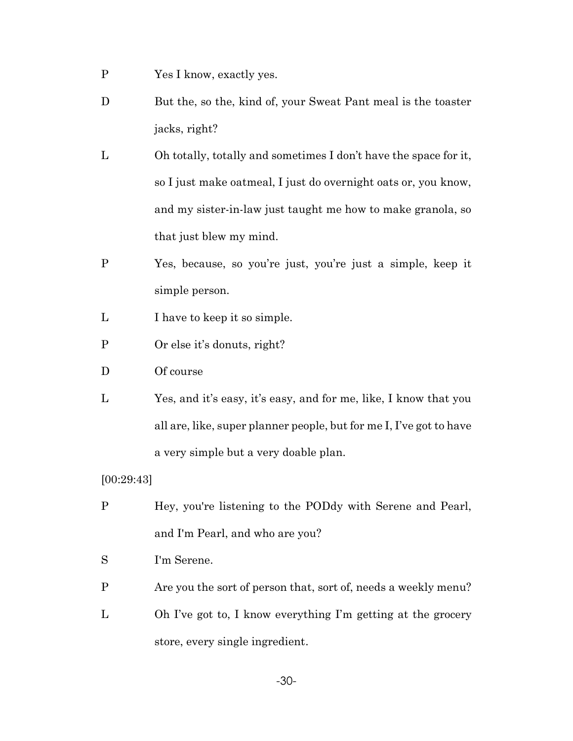- P Yes I know, exactly yes.
- D But the, so the, kind of, your Sweat Pant meal is the toaster jacks, right?
- L Oh totally, totally and sometimes I don't have the space for it, so I just make oatmeal, I just do overnight oats or, you know, and my sister-in-law just taught me how to make granola, so that just blew my mind.
- P Yes, because, so you're just, you're just a simple, keep it simple person.
- L I have to keep it so simple.
- P Or else it's donuts, right?
- D Of course
- L Yes, and it's easy, it's easy, and for me, like, I know that you all are, like, super planner people, but for me I, I've got to have a very simple but a very doable plan.

### [00:29:43]

- P Hey, you're listening to the PODdy with Serene and Pearl, and I'm Pearl, and who are you?
- S I'm Serene.
- P Are you the sort of person that, sort of, needs a weekly menu?
- L Oh I've got to, I know everything I'm getting at the grocery store, every single ingredient.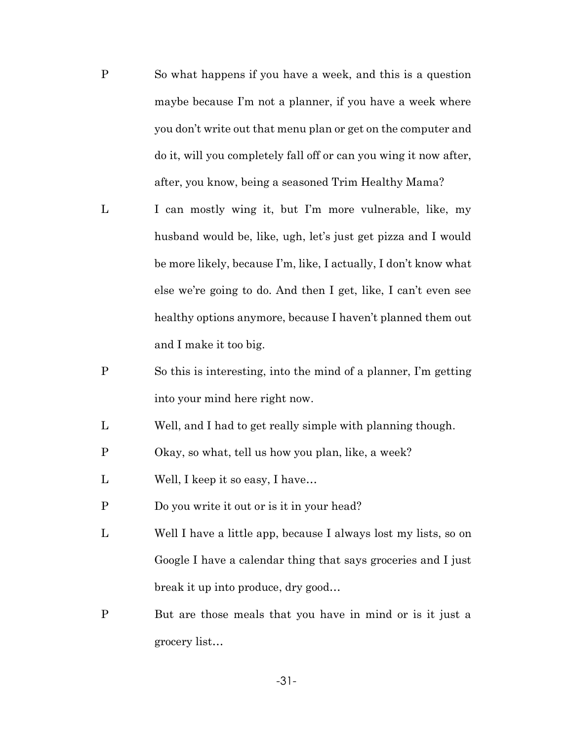- P So what happens if you have a week, and this is a question maybe because I'm not a planner, if you have a week where you don't write out that menu plan or get on the computer and do it, will you completely fall off or can you wing it now after, after, you know, being a seasoned Trim Healthy Mama?
- L I can mostly wing it, but I'm more vulnerable, like, my husband would be, like, ugh, let's just get pizza and I would be more likely, because I'm, like, I actually, I don't know what else we're going to do. And then I get, like, I can't even see healthy options anymore, because I haven't planned them out and I make it too big.
- P So this is interesting, into the mind of a planner, I'm getting into your mind here right now.
- L Well, and I had to get really simple with planning though.
- P Okay, so what, tell us how you plan, like, a week?
- L Well, I keep it so easy, I have…
- P Do you write it out or is it in your head?
- L Well I have a little app, because I always lost my lists, so on Google I have a calendar thing that says groceries and I just break it up into produce, dry good…
- P But are those meals that you have in mind or is it just a grocery list…

-31-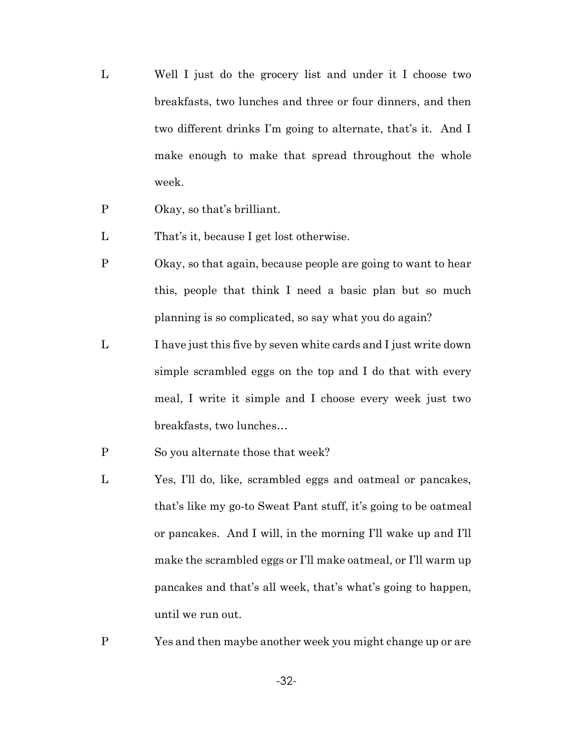- L Well I just do the grocery list and under it I choose two breakfasts, two lunches and three or four dinners, and then two different drinks I'm going to alternate, that's it. And I make enough to make that spread throughout the whole week.
- P Okay, so that's brilliant.
- L That's it, because I get lost otherwise.
- P Okay, so that again, because people are going to want to hear this, people that think I need a basic plan but so much planning is so complicated, so say what you do again?
- L I have just this five by seven white cards and I just write down simple scrambled eggs on the top and I do that with every meal, I write it simple and I choose every week just two breakfasts, two lunches…
- P So you alternate those that week?
- L Yes, I'll do, like, scrambled eggs and oatmeal or pancakes, that's like my go-to Sweat Pant stuff, it's going to be oatmeal or pancakes. And I will, in the morning I'll wake up and I'll make the scrambled eggs or I'll make oatmeal, or I'll warm up pancakes and that's all week, that's what's going to happen, until we run out.
- P Yes and then maybe another week you might change up or are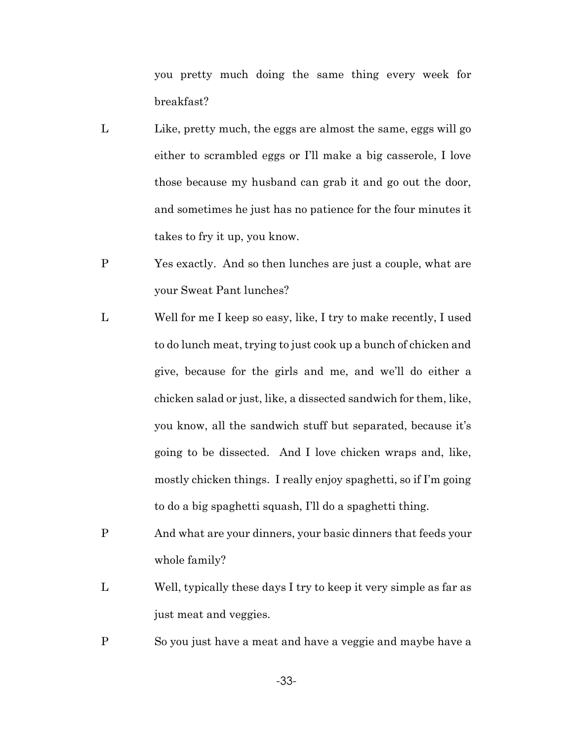you pretty much doing the same thing every week for breakfast?

- L Like, pretty much, the eggs are almost the same, eggs will go either to scrambled eggs or I'll make a big casserole, I love those because my husband can grab it and go out the door, and sometimes he just has no patience for the four minutes it takes to fry it up, you know.
- P Yes exactly. And so then lunches are just a couple, what are your Sweat Pant lunches?
- L Well for me I keep so easy, like, I try to make recently, I used to do lunch meat, trying to just cook up a bunch of chicken and give, because for the girls and me, and we'll do either a chicken salad or just, like, a dissected sandwich for them, like, you know, all the sandwich stuff but separated, because it's going to be dissected. And I love chicken wraps and, like, mostly chicken things. I really enjoy spaghetti, so if I'm going to do a big spaghetti squash, I'll do a spaghetti thing.
- P And what are your dinners, your basic dinners that feeds your whole family?
- L Well, typically these days I try to keep it very simple as far as just meat and veggies.
- P So you just have a meat and have a veggie and maybe have a

-33-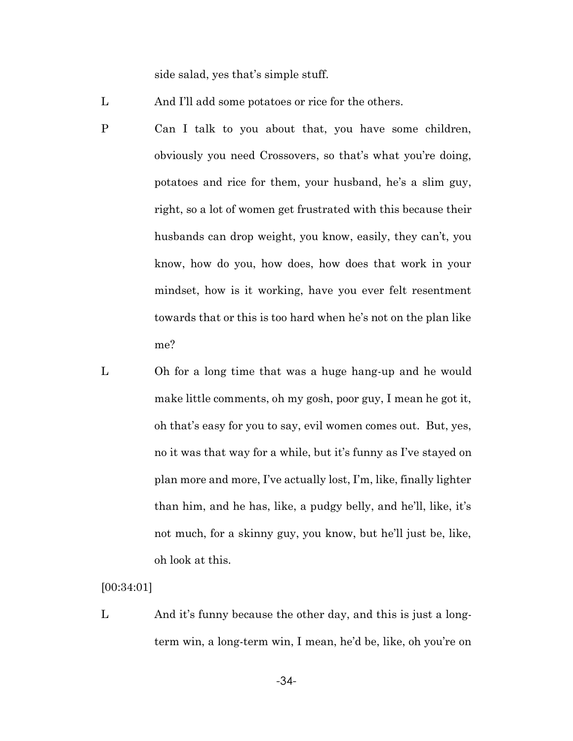side salad, yes that's simple stuff.

L And I'll add some potatoes or rice for the others.

- P Can I talk to you about that, you have some children, obviously you need Crossovers, so that's what you're doing, potatoes and rice for them, your husband, he's a slim guy, right, so a lot of women get frustrated with this because their husbands can drop weight, you know, easily, they can't, you know, how do you, how does, how does that work in your mindset, how is it working, have you ever felt resentment towards that or this is too hard when he's not on the plan like me?
- L Oh for a long time that was a huge hang-up and he would make little comments, oh my gosh, poor guy, I mean he got it, oh that's easy for you to say, evil women comes out. But, yes, no it was that way for a while, but it's funny as I've stayed on plan more and more, I've actually lost, I'm, like, finally lighter than him, and he has, like, a pudgy belly, and he'll, like, it's not much, for a skinny guy, you know, but he'll just be, like, oh look at this.

[00:34:01]

L And it's funny because the other day, and this is just a longterm win, a long-term win, I mean, he'd be, like, oh you're on

-34-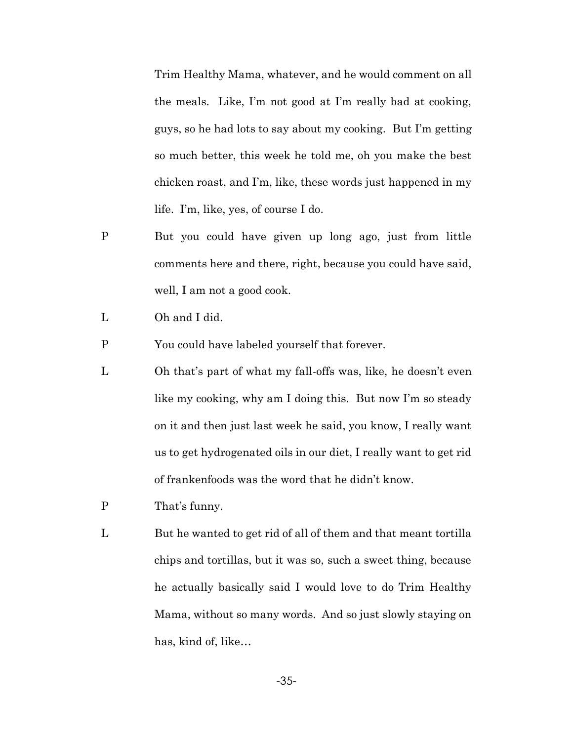Trim Healthy Mama, whatever, and he would comment on all the meals. Like, I'm not good at I'm really bad at cooking, guys, so he had lots to say about my cooking. But I'm getting so much better, this week he told me, oh you make the best chicken roast, and I'm, like, these words just happened in my life. I'm, like, yes, of course I do.

- P But you could have given up long ago, just from little comments here and there, right, because you could have said, well, I am not a good cook.
- L Oh and I did.
- P You could have labeled yourself that forever.
- L Oh that's part of what my fall-offs was, like, he doesn't even like my cooking, why am I doing this. But now I'm so steady on it and then just last week he said, you know, I really want us to get hydrogenated oils in our diet, I really want to get rid of frankenfoods was the word that he didn't know.
- P That's funny.
- L But he wanted to get rid of all of them and that meant tortilla chips and tortillas, but it was so, such a sweet thing, because he actually basically said I would love to do Trim Healthy Mama, without so many words. And so just slowly staying on has, kind of, like…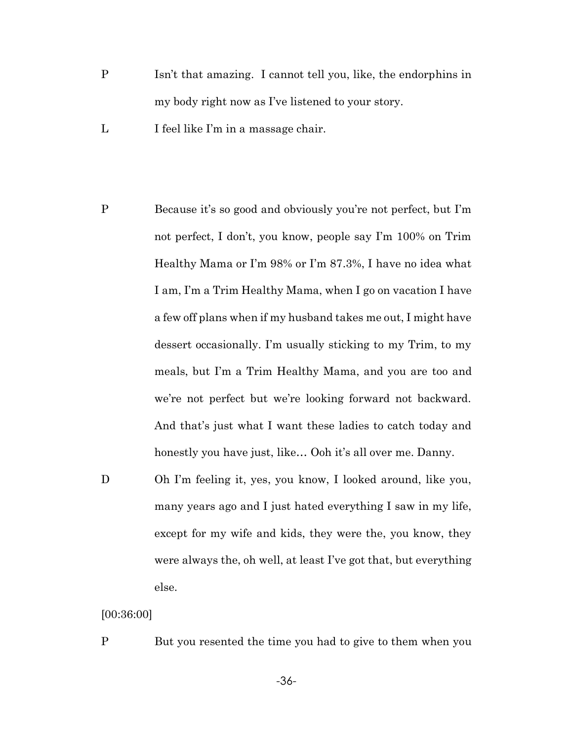- P Isn't that amazing. I cannot tell you, like, the endorphins in my body right now as I've listened to your story.
- L I feel like I'm in a massage chair.
- P Because it's so good and obviously you're not perfect, but I'm not perfect, I don't, you know, people say I'm 100% on Trim Healthy Mama or I'm 98% or I'm 87.3%, I have no idea what I am, I'm a Trim Healthy Mama, when I go on vacation I have a few off plans when if my husband takes me out, I might have dessert occasionally. I'm usually sticking to my Trim, to my meals, but I'm a Trim Healthy Mama, and you are too and we're not perfect but we're looking forward not backward. And that's just what I want these ladies to catch today and honestly you have just, like... Ooh it's all over me. Danny.
- D Oh I'm feeling it, yes, you know, I looked around, like you, many years ago and I just hated everything I saw in my life, except for my wife and kids, they were the, you know, they were always the, oh well, at least I've got that, but everything else.

## [00:36:00]

P But you resented the time you had to give to them when you

-36-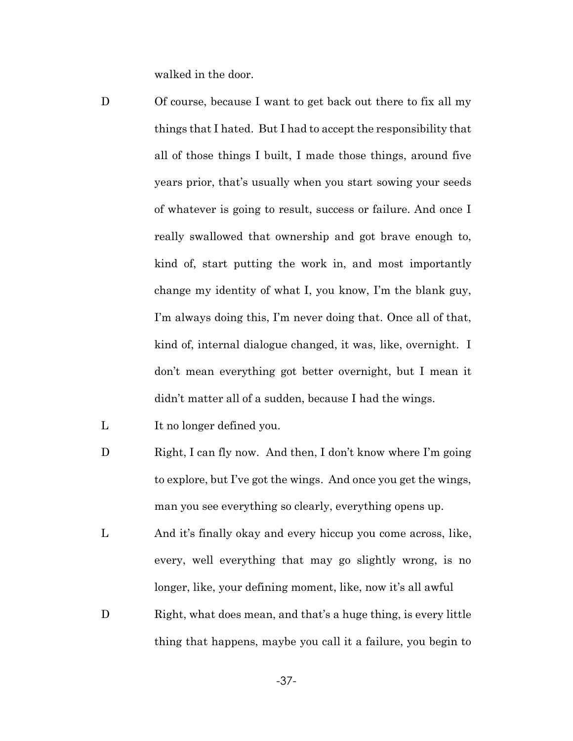walked in the door.

- D Of course, because I want to get back out there to fix all my things that I hated. But I had to accept the responsibility that all of those things I built, I made those things, around five years prior, that's usually when you start sowing your seeds of whatever is going to result, success or failure. And once I really swallowed that ownership and got brave enough to, kind of, start putting the work in, and most importantly change my identity of what I, you know, I'm the blank guy, I'm always doing this, I'm never doing that. Once all of that, kind of, internal dialogue changed, it was, like, overnight. I don't mean everything got better overnight, but I mean it didn't matter all of a sudden, because I had the wings.
- L It no longer defined you.
- D Right, I can fly now. And then, I don't know where I'm going to explore, but I've got the wings. And once you get the wings, man you see everything so clearly, everything opens up.
- L And it's finally okay and every hiccup you come across, like, every, well everything that may go slightly wrong, is no longer, like, your defining moment, like, now it's all awful
- D Right, what does mean, and that's a huge thing, is every little thing that happens, maybe you call it a failure, you begin to

-37-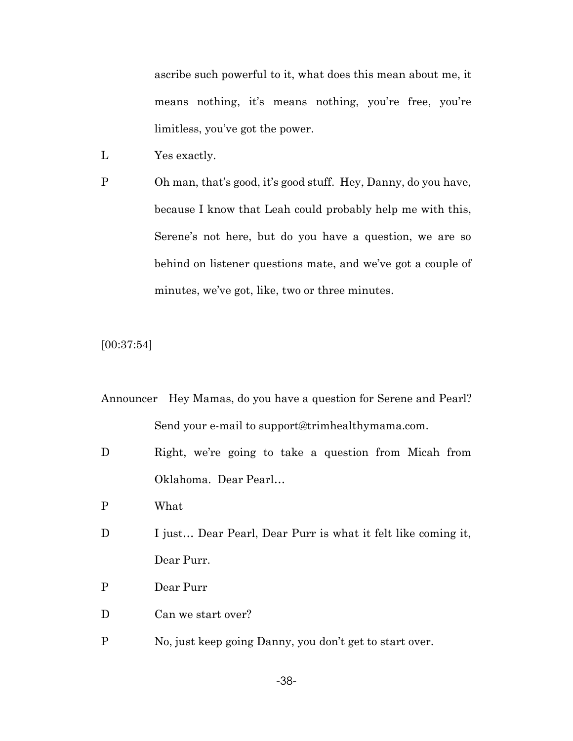ascribe such powerful to it, what does this mean about me, it means nothing, it's means nothing, you're free, you're limitless, you've got the power.

- L Yes exactly.
- P Oh man, that's good, it's good stuff. Hey, Danny, do you have, because I know that Leah could probably help me with this, Serene's not here, but do you have a question, we are so behind on listener questions mate, and we've got a couple of minutes, we've got, like, two or three minutes.

[00:37:54]

- Announcer Hey Mamas, do you have a question for Serene and Pearl? Send your e-mail to support@trimhealthymama.com.
- D Right, we're going to take a question from Micah from Oklahoma. Dear Pearl…
- P What
- D I just... Dear Pearl, Dear Purr is what it felt like coming it, Dear Purr.
- P Dear Purr
- D Can we start over?
- P No, just keep going Danny, you don't get to start over.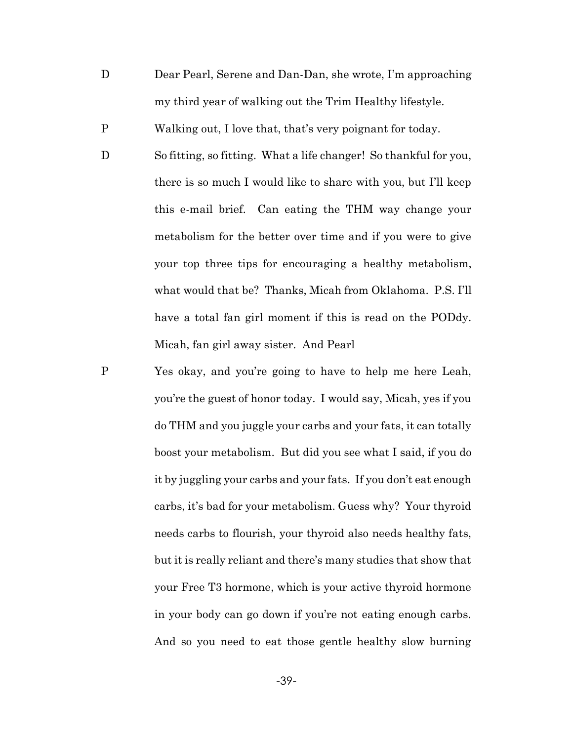D Dear Pearl, Serene and Dan-Dan, she wrote, I'm approaching my third year of walking out the Trim Healthy lifestyle.

P Walking out, I love that, that's very poignant for today.

- D So fitting, so fitting. What a life changer! So thankful for you, there is so much I would like to share with you, but I'll keep this e-mail brief. Can eating the THM way change your metabolism for the better over time and if you were to give your top three tips for encouraging a healthy metabolism, what would that be? Thanks, Micah from Oklahoma. P.S. I'll have a total fan girl moment if this is read on the PODdy. Micah, fan girl away sister. And Pearl
- P Yes okay, and you're going to have to help me here Leah, you're the guest of honor today. I would say, Micah, yes if you do THM and you juggle your carbs and your fats, it can totally boost your metabolism. But did you see what I said, if you do it by juggling your carbs and your fats. If you don't eat enough carbs, it's bad for your metabolism. Guess why? Your thyroid needs carbs to flourish, your thyroid also needs healthy fats, but it is really reliant and there's many studies that show that your Free T3 hormone, which is your active thyroid hormone in your body can go down if you're not eating enough carbs. And so you need to eat those gentle healthy slow burning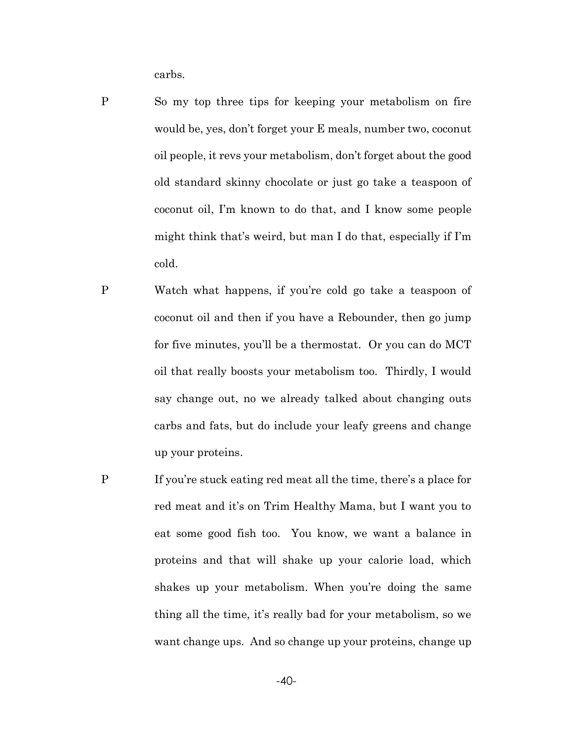carbs.

- P So my top three tips for keeping your metabolism on fire would be, yes, don't forget your E meals, number two, coconut oil people, it revs your metabolism, don't forget about the good old standard skinny chocolate or just go take a teaspoon of coconut oil, I'm known to do that, and I know some people might think that's weird, but man I do that, especially if I'm cold.
- P Watch what happens, if you're cold go take a teaspoon of coconut oil and then if you have a Rebounder, then go jump for five minutes, you'll be a thermostat. Or you can do MCT oil that really boosts your metabolism too. Thirdly, I would say change out, no we already talked about changing outs carbs and fats, but do include your leafy greens and change up your proteins.
- P If you're stuck eating red meat all the time, there's a place for red meat and it's on Trim Healthy Mama, but I want you to eat some good fish too. You know, we want a balance in proteins and that will shake up your calorie load, which shakes up your metabolism. When you're doing the same thing all the time, it's really bad for your metabolism, so we want change ups. And so change up your proteins, change up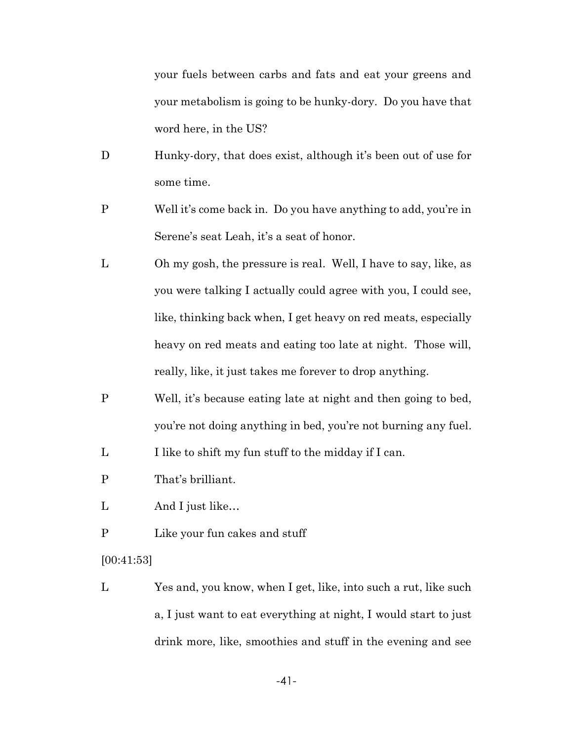your fuels between carbs and fats and eat your greens and your metabolism is going to be hunky-dory. Do you have that word here, in the US?

- D Hunky-dory, that does exist, although it's been out of use for some time.
- P Well it's come back in. Do you have anything to add, you're in Serene's seat Leah, it's a seat of honor.
- L Oh my gosh, the pressure is real. Well, I have to say, like, as you were talking I actually could agree with you, I could see, like, thinking back when, I get heavy on red meats, especially heavy on red meats and eating too late at night. Those will, really, like, it just takes me forever to drop anything.
- P Well, it's because eating late at night and then going to bed, you're not doing anything in bed, you're not burning any fuel.

L I like to shift my fun stuff to the midday if I can.

- P That's brilliant.
- L And I just like...
- P Like your fun cakes and stuff

[00:41:53]

L Yes and, you know, when I get, like, into such a rut, like such a, I just want to eat everything at night, I would start to just drink more, like, smoothies and stuff in the evening and see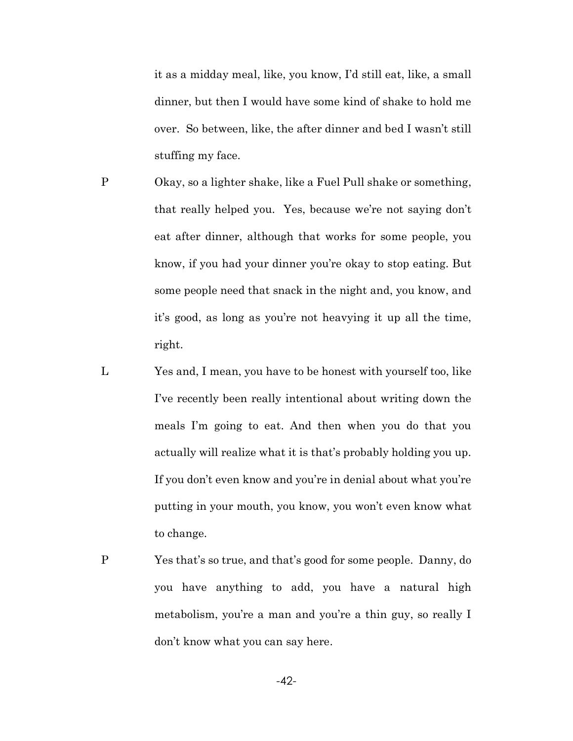it as a midday meal, like, you know, I'd still eat, like, a small dinner, but then I would have some kind of shake to hold me over. So between, like, the after dinner and bed I wasn't still stuffing my face.

- P Okay, so a lighter shake, like a Fuel Pull shake or something, that really helped you. Yes, because we're not saying don't eat after dinner, although that works for some people, you know, if you had your dinner you're okay to stop eating. But some people need that snack in the night and, you know, and it's good, as long as you're not heavying it up all the time, right.
- L Yes and, I mean, you have to be honest with yourself too, like I've recently been really intentional about writing down the meals I'm going to eat. And then when you do that you actually will realize what it is that's probably holding you up. If you don't even know and you're in denial about what you're putting in your mouth, you know, you won't even know what to change.
- P Yes that's so true, and that's good for some people. Danny, do you have anything to add, you have a natural high metabolism, you're a man and you're a thin guy, so really I don't know what you can say here.

-42-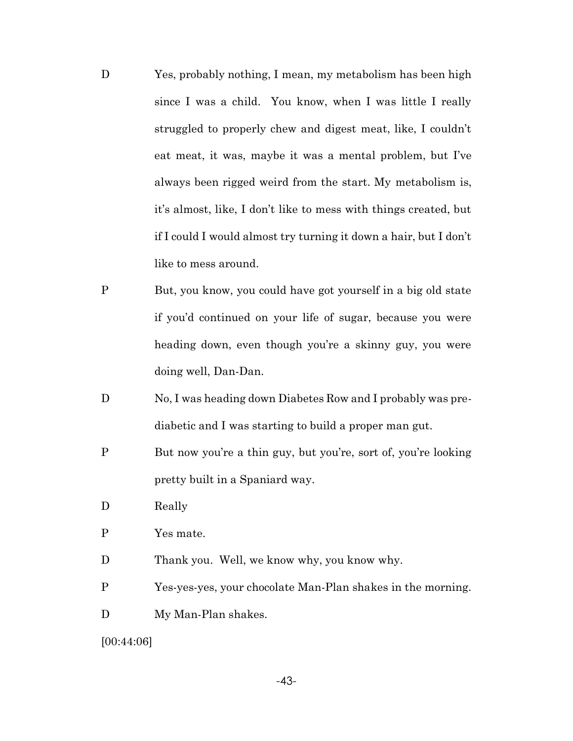- D Yes, probably nothing, I mean, my metabolism has been high since I was a child. You know, when I was little I really struggled to properly chew and digest meat, like, I couldn't eat meat, it was, maybe it was a mental problem, but I've always been rigged weird from the start. My metabolism is, it's almost, like, I don't like to mess with things created, but if I could I would almost try turning it down a hair, but I don't like to mess around.
- P But, you know, you could have got yourself in a big old state if you'd continued on your life of sugar, because you were heading down, even though you're a skinny guy, you were doing well, Dan-Dan.
- D No, I was heading down Diabetes Row and I probably was prediabetic and I was starting to build a proper man gut.
- P But now you're a thin guy, but you're, sort of, you're looking pretty built in a Spaniard way.
- D Really
- P Yes mate.
- D Thank you. Well, we know why, you know why.
- P Yes-yes-yes, your chocolate Man-Plan shakes in the morning.
- D My Man-Plan shakes.

[00:44:06]